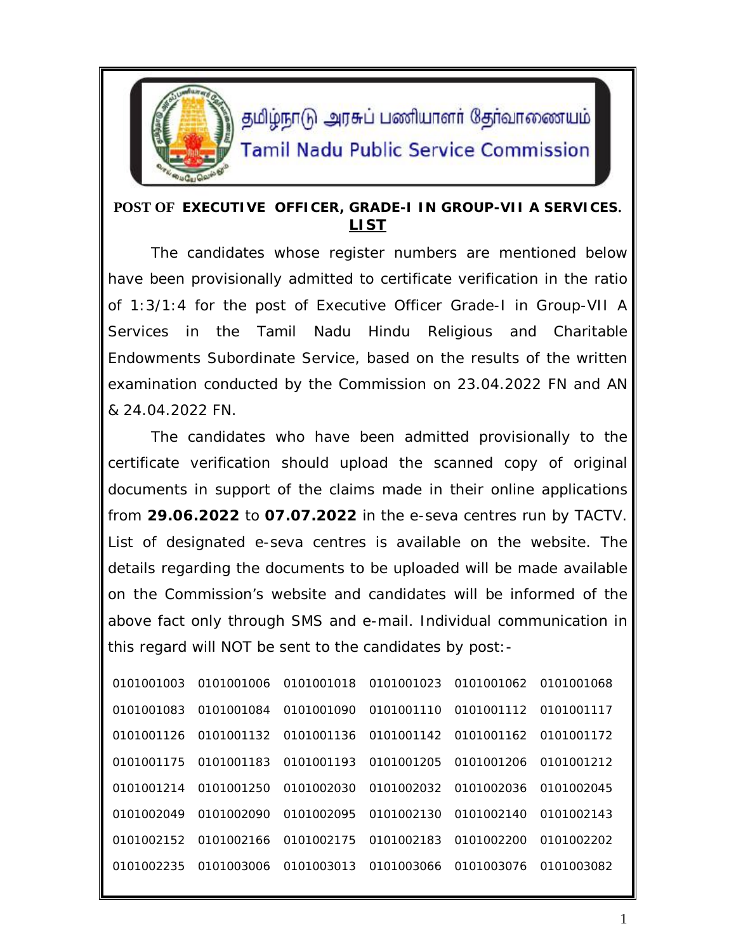

தமிழ்நாடு அரசுப் பணியாளர் தேர்வாணையம் **Tamil Nadu Public Service Commission** 

## **POST OF EXECUTIVE OFFICER, GRADE-I IN GROUP-VII A SERVICES. LIST**

The candidates whose register numbers are mentioned below have been provisionally admitted to certificate verification in the ratio of 1:3/1:4 for the post of Executive Officer Grade-I in Group-VII A Services in the Tamil Nadu Hindu Religious and Charitable Endowments Subordinate Service, based on the results of the written examination conducted by the Commission on 23.04.2022 FN and AN & 24.04.2022 FN.

The candidates who have been admitted provisionally to the certificate verification should upload the scanned copy of original documents in support of the claims made in their online applications from **29.06.2022** to **07.07.2022** in the e-seva centres run by TACTV. List of designated e-seva centres is available on the website. The details regarding the documents to be uploaded will be made available on the Commission's website and candidates will be informed of the above fact only through SMS and e-mail. Individual communication in this regard will NOT be sent to the candidates by post:-

| 0101001003 | 0101001006                                             | 0101001018            | 0101001023 | 0101001062            | 0101001068 |
|------------|--------------------------------------------------------|-----------------------|------------|-----------------------|------------|
| 0101001083 | 0101001084                                             | 0101001090            |            | 0101001110 0101001112 | 0101001117 |
|            | 0101001126 0101001132 0101001136 0101001142 0101001162 |                       |            |                       | 0101001172 |
| 0101001175 | 0101001183                                             | 0101001193            | 0101001205 | 0101001206            | 0101001212 |
| 0101001214 | 0101001250                                             | 0101002030            | 0101002032 | 0101002036            | 0101002045 |
| 0101002049 | 0101002090                                             | 0101002095            | 0101002130 | 0101002140            | 0101002143 |
| 0101002152 |                                                        | 0101002166 0101002175 | 0101002183 | 0101002200            | 0101002202 |
| 0101002235 | 0101003006                                             | 0101003013            | 0101003066 | 0101003076            | 0101003082 |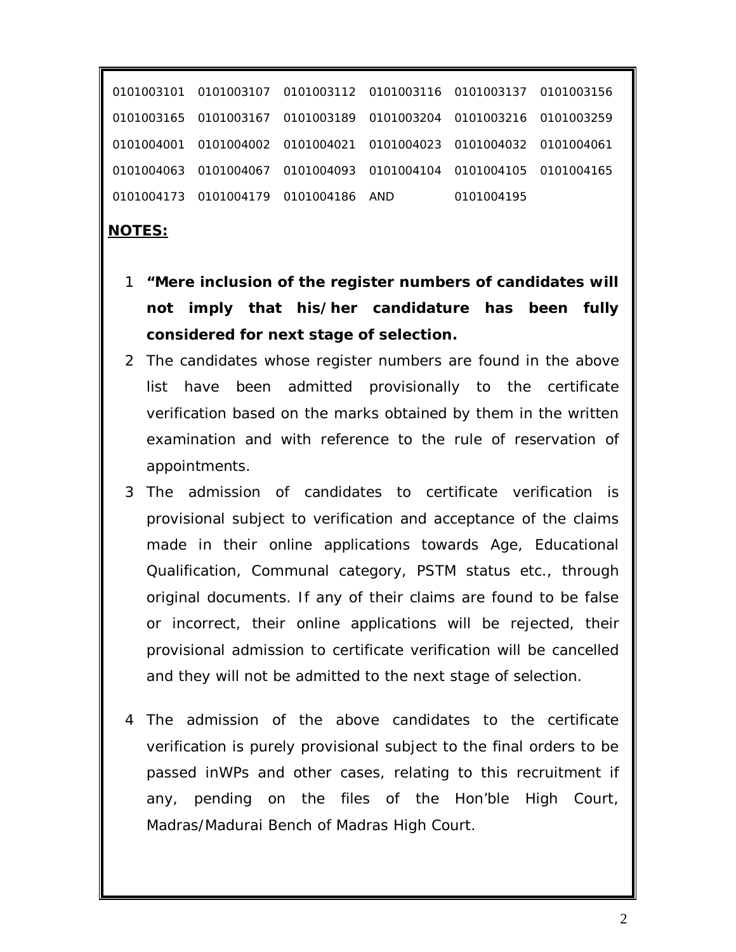0101003107 0101003112 0101003116 0101003137 0101003156 0101003167 0101003189 0101003204 0101003216 0101003259 0101004002 0101004021 0101004023 0101004032 0101004061 0101004067 0101004093 0101004104 0101004105 0101004165 0101004179 0101004186 AND 0101004195

## **NOTES:**

- 1 **"Mere inclusion of the register numbers of candidates will not imply that his/her candidature has been fully considered for next stage of selection.**
- 2 The candidates whose register numbers are found in the above list have been admitted provisionally to the certificate verification based on the marks obtained by them in the written examination and with reference to the rule of reservation of appointments.
- 3 The admission of candidates to certificate verification is provisional subject to verification and acceptance of the claims made in their online applications towards Age, Educational Qualification, Communal category, PSTM status etc., through original documents. If any of their claims are found to be false or incorrect, their online applications will be rejected, their provisional admission to certificate verification will be cancelled and they will not be admitted to the next stage of selection.
- 4 The admission of the above candidates to the certificate verification is purely provisional subject to the final orders to be passed inWPs and other cases, relating to this recruitment if any, pending on the files of the Hon'ble High Court, Madras/Madurai Bench of Madras High Court.